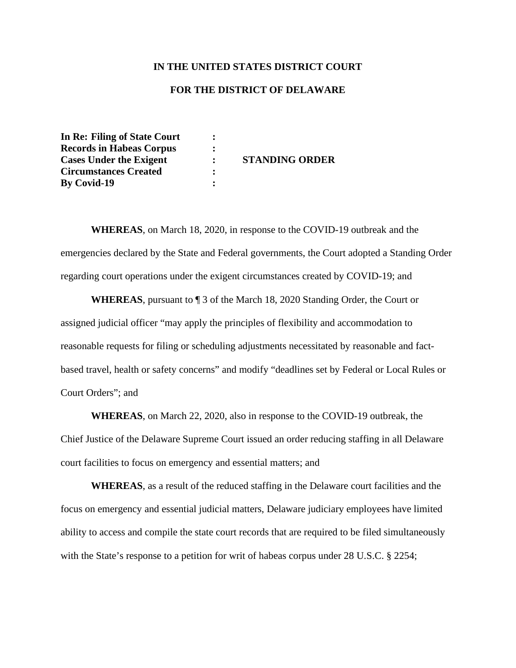## **IN THE UNITED STATES DISTRICT COURT**

## **FOR THE DISTRICT OF DELAWARE**

**In Re: Filing of State Court : Records in Habeas Corpus : Cases Under the Exigent : STANDING ORDER Circumstances Created : By Covid-19 :**

**WHEREAS**, on March 18, 2020, in response to the COVID-19 outbreak and the emergencies declared by the State and Federal governments, the Court adopted a Standing Order regarding court operations under the exigent circumstances created by COVID-19; and

**WHEREAS**, pursuant to ¶ 3 of the March 18, 2020 Standing Order, the Court or assigned judicial officer "may apply the principles of flexibility and accommodation to reasonable requests for filing or scheduling adjustments necessitated by reasonable and factbased travel, health or safety concerns" and modify "deadlines set by Federal or Local Rules or Court Orders"; and

**WHEREAS**, on March 22, 2020, also in response to the COVID-19 outbreak, the Chief Justice of the Delaware Supreme Court issued an order reducing staffing in all Delaware court facilities to focus on emergency and essential matters; and

**WHEREAS**, as a result of the reduced staffing in the Delaware court facilities and the focus on emergency and essential judicial matters, Delaware judiciary employees have limited ability to access and compile the state court records that are required to be filed simultaneously with the State's response to a petition for writ of habeas corpus under 28 U.S.C. § 2254;